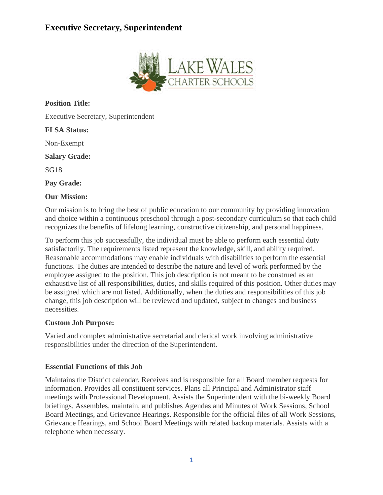# **Executive Secretary, Superintendent**



**Position Title:**

Executive Secretary, Superintendent

**FLSA Status:**

Non-Exempt

**Salary Grade:**

SG18

**Pay Grade:**

#### **Our Mission:**

Our mission is to bring the best of public education to our community by providing innovation and choice within a continuous preschool through a post-secondary curriculum so that each child recognizes the benefits of lifelong learning, constructive citizenship, and personal happiness.

To perform this job successfully, the individual must be able to perform each essential duty satisfactorily. The requirements listed represent the knowledge, skill, and ability required. Reasonable accommodations may enable individuals with disabilities to perform the essential functions. The duties are intended to describe the nature and level of work performed by the employee assigned to the position. This job description is not meant to be construed as an exhaustive list of all responsibilities, duties, and skills required of this position. Other duties may be assigned which are not listed. Additionally, when the duties and responsibilities of this job change, this job description will be reviewed and updated, subject to changes and business necessities.

# **Custom Job Purpose:**

Varied and complex administrative secretarial and clerical work involving administrative responsibilities under the direction of the Superintendent.

# **Essential Functions of this Job**

Maintains the District calendar. Receives and is responsible for all Board member requests for information. Provides all constituent services. Plans all Principal and Administrator staff meetings with Professional Development. Assists the Superintendent with the bi-weekly Board briefings. Assembles, maintain, and publishes Agendas and Minutes of Work Sessions, School Board Meetings, and Grievance Hearings. Responsible for the official files of all Work Sessions, Grievance Hearings, and School Board Meetings with related backup materials. Assists with a telephone when necessary.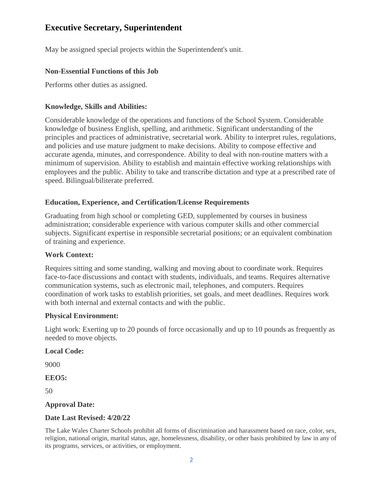# **Executive Secretary, Superintendent**

May be assigned special projects within the Superintendent's unit.

# **Non-Essential Functions of this Job**

Performs other duties as assigned.

# **Knowledge, Skills and Abilities:**

Considerable knowledge of the operations and functions of the School System. Considerable knowledge of business English, spelling, and arithmetic. Significant understanding of the principles and practices of administrative, secretarial work. Ability to interpret rules, regulations, and policies and use mature judgment to make decisions. Ability to compose effective and accurate agenda, minutes, and correspondence. Ability to deal with non-routine matters with a minimum of supervision. Ability to establish and maintain effective working relationships with employees and the public. Ability to take and transcribe dictation and type at a prescribed rate of speed. Bilingual/biliterate preferred.

# **Education, Experience, and Certification/License Requirements**

Graduating from high school or completing GED, supplemented by courses in business administration; considerable experience with various computer skills and other commercial subjects. Significant expertise in responsible secretarial positions; or an equivalent combination of training and experience.

# **Work Context:**

Requires sitting and some standing, walking and moving about to coordinate work. Requires face-to-face discussions and contact with students, individuals, and teams. Requires alternative communication systems, such as electronic mail, telephones, and computers. Requires coordination of work tasks to establish priorities, set goals, and meet deadlines. Requires work with both internal and external contacts and with the public.

# **Physical Environment:**

Light work: Exerting up to 20 pounds of force occasionally and up to 10 pounds as frequently as needed to move objects.

# **Local Code:**

9000

**EEO5:**

50

# **Approval Date:**

# **Date Last Revised: 4/20/22**

The Lake Wales Charter Schools prohibit all forms of discrimination and harassment based on race, color, sex, religion, national origin, marital status, age, homelessness, disability, or other basis prohibited by law in any of its programs, services, or activities, or employment.